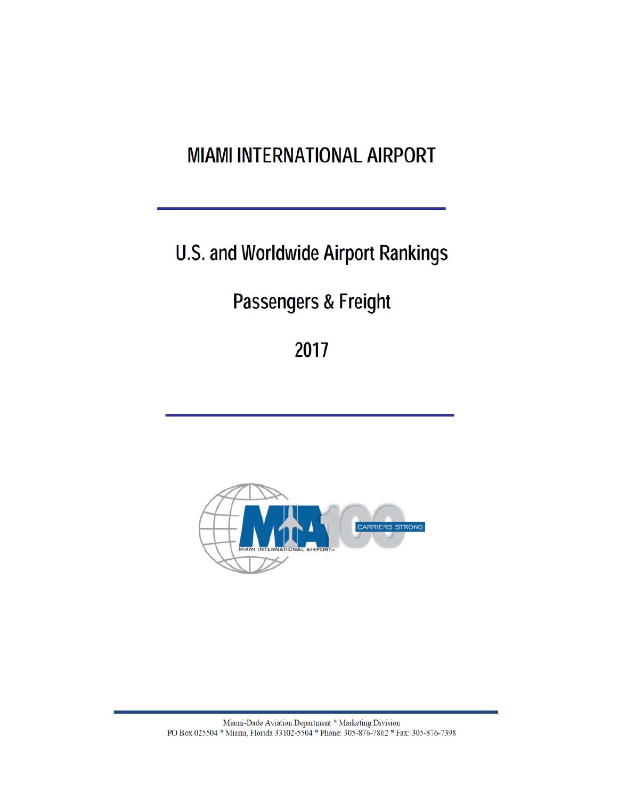# **MIAMI INTERNATIONAL AIRPORT**

U.S. and Worldwide Airport Rankings

Passengers & Freight

2017

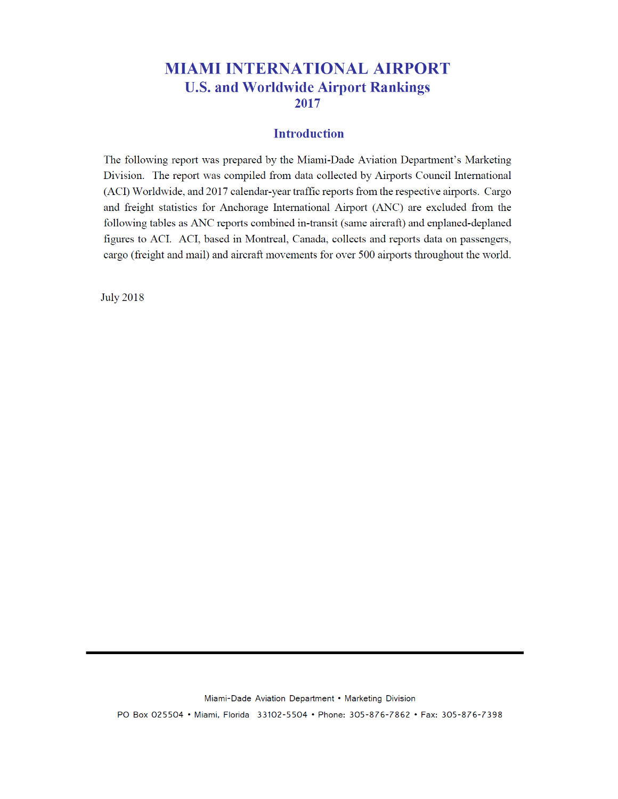### **MIAMI INTERNATIONAL AIRPORT U.S. and Worldwide Airport Rankings** 2017

#### **Introduction**

The following report was prepared by the Miami-Dade Aviation Department's Marketing Division. The report was compiled from data collected by Airports Council International (ACI) Worldwide, and 2017 calendar-year traffic reports from the respective airports. Cargo and freight statistics for Anchorage International Airport (ANC) are excluded from the following tables as ANC reports combined in-transit (same aircraft) and enplaned-deplaned figures to ACI. ACI, based in Montreal, Canada, collects and reports data on passengers, cargo (freight and mail) and aircraft movements for over 500 airports throughout the world.

**July 2018**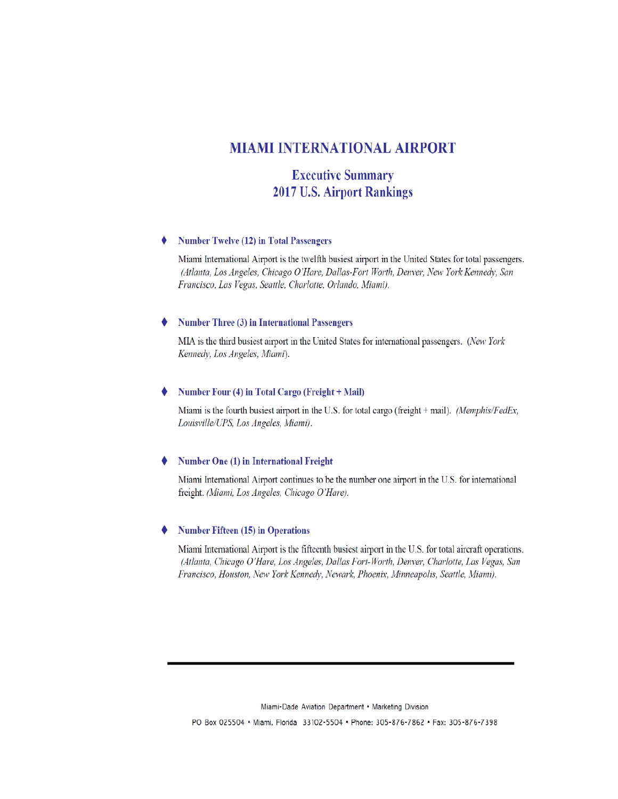#### **MIAMI INTERNATIONAL AIRPORT**

#### **Executive Summary 2017 U.S. Airport Rankings**

#### **Number Twelve (12) in Total Passengers** đ

Miami International Airport is the twelfth busiest airport in the United States for total passengers. (Atlanta, Los Angeles, Chicago O'Hare, Dallas-Fort Worth, Denver, New York Kennedy, San Francisco, Las Vegas, Seattle, Charlotte, Orlando, Miami).

#### **Number Three (3) in International Passengers**

MIA is the third busiest airport in the United States for international passengers. (New York Kennedy, Los Angeles, Miami).

#### Number Four (4) in Total Cargo (Freight + Mail)

Miami is the fourth busiest airport in the U.S. for total cargo (freight + mail). (Memphis/FedEx, Louisville/UPS, Los Angeles, Miami).

#### **Number One (1) in International Freight**

Miami International Airport continues to be the number one airport in the U.S. for international freight. (Miami, Los Angeles, Chicago O'Hare).

#### **Number Fifteen (15) in Operations**

Miami International Airport is the fifteenth busiest airport in the U.S. for total aircraft operations. (Atlanta, Chicago O'Hare, Los Angeles, Dallas Fort-Worth, Denver, Charlotte, Las Vegas, San Francisco, Houston, New York Kennedy, Newark, Phoenix, Minneapolis, Seattle, Miami).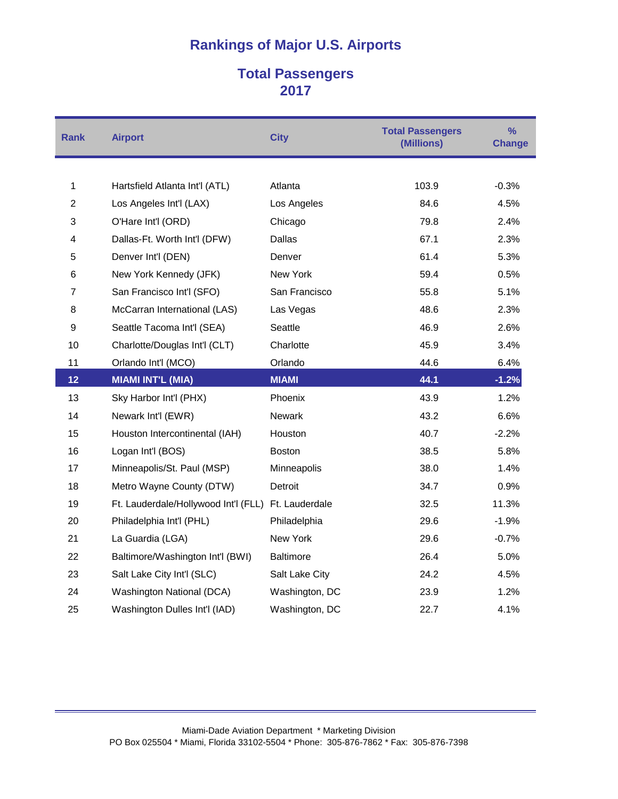### **Total Passengers**

| <b>Rank</b>    | <b>Airport</b>                       | <b>City</b>      | <b>Total Passengers</b><br>(Millions) | $\frac{9}{6}$<br><b>Change</b> |
|----------------|--------------------------------------|------------------|---------------------------------------|--------------------------------|
|                |                                      |                  |                                       |                                |
| 1              | Hartsfield Atlanta Int'l (ATL)       | Atlanta          | 103.9                                 | $-0.3%$                        |
| $\overline{2}$ | Los Angeles Int'l (LAX)              | Los Angeles      | 84.6                                  | 4.5%                           |
| 3              | O'Hare Int'l (ORD)                   | Chicago          | 79.8                                  | 2.4%                           |
| 4              | Dallas-Ft. Worth Int'l (DFW)         | Dallas           | 67.1                                  | 2.3%                           |
| 5              | Denver Int'l (DEN)                   | Denver           | 61.4                                  | 5.3%                           |
| 6              | New York Kennedy (JFK)               | New York         | 59.4                                  | 0.5%                           |
| $\overline{7}$ | San Francisco Int'l (SFO)            | San Francisco    | 55.8                                  | 5.1%                           |
| 8              | McCarran International (LAS)         | Las Vegas        | 48.6                                  | 2.3%                           |
| 9              | Seattle Tacoma Int'l (SEA)           | Seattle          | 46.9                                  | 2.6%                           |
| 10             | Charlotte/Douglas Int'l (CLT)        | Charlotte        | 45.9                                  | 3.4%                           |
| 11             | Orlando Int'l (MCO)                  | Orlando          | 44.6                                  | 6.4%                           |
| 12             | <b>MIAMI INT'L (MIA)</b>             | <b>MIAMI</b>     | 44.1                                  | $-1.2%$                        |
| 13             | Sky Harbor Int'l (PHX)               | Phoenix          | 43.9                                  | 1.2%                           |
| 14             | Newark Int'l (EWR)                   | Newark           | 43.2                                  | 6.6%                           |
| 15             | Houston Intercontinental (IAH)       | Houston          | 40.7                                  | $-2.2%$                        |
| 16             | Logan Int'l (BOS)                    | <b>Boston</b>    | 38.5                                  | 5.8%                           |
| 17             | Minneapolis/St. Paul (MSP)           | Minneapolis      | 38.0                                  | 1.4%                           |
| 18             | Metro Wayne County (DTW)             | Detroit          | 34.7                                  | 0.9%                           |
| 19             | Ft. Lauderdale/Hollywood Int'l (FLL) | Ft. Lauderdale   | 32.5                                  | 11.3%                          |
| 20             | Philadelphia Int'l (PHL)             | Philadelphia     | 29.6                                  | $-1.9%$                        |
| 21             | La Guardia (LGA)                     | New York         | 29.6                                  | $-0.7%$                        |
| 22             | Baltimore/Washington Int'l (BWI)     | <b>Baltimore</b> | 26.4                                  | 5.0%                           |
| 23             | Salt Lake City Int'l (SLC)           | Salt Lake City   | 24.2                                  | 4.5%                           |
| 24             | Washington National (DCA)            | Washington, DC   | 23.9                                  | 1.2%                           |
| 25             | Washington Dulles Int'l (IAD)        | Washington, DC   | 22.7                                  | 4.1%                           |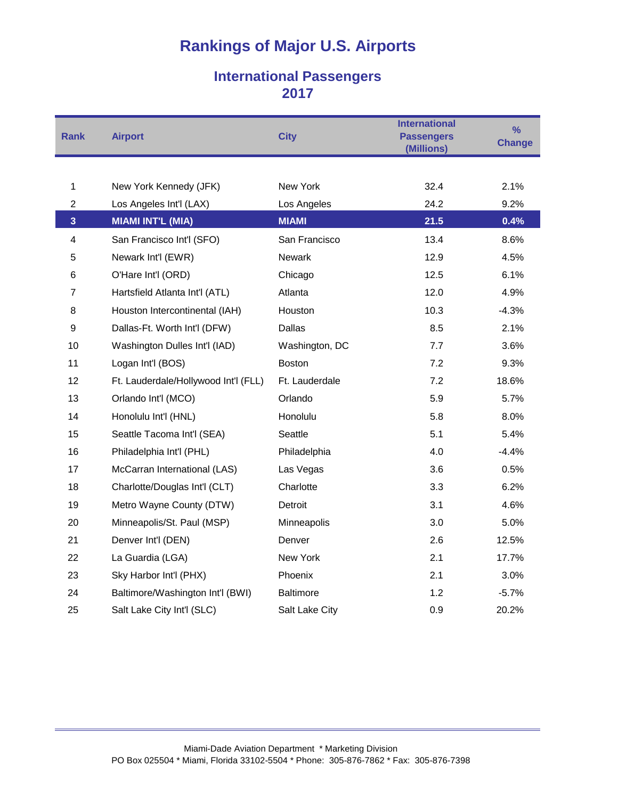### **International Passengers**

| <b>Rank</b>             | <b>Airport</b>                       | <b>City</b>      | <b>International</b><br><b>Passengers</b><br>(Millions) | $\frac{9}{6}$<br><b>Change</b> |
|-------------------------|--------------------------------------|------------------|---------------------------------------------------------|--------------------------------|
|                         |                                      |                  |                                                         |                                |
| 1                       | New York Kennedy (JFK)               | New York         | 32.4                                                    | 2.1%                           |
| $\overline{c}$          | Los Angeles Int'l (LAX)              | Los Angeles      | 24.2                                                    | 9.2%                           |
| $\overline{\mathbf{3}}$ | <b>MIAMI INT'L (MIA)</b>             | <b>MIAMI</b>     | 21.5                                                    | 0.4%                           |
| 4                       | San Francisco Int'l (SFO)            | San Francisco    | 13.4                                                    | 8.6%                           |
| 5                       | Newark Int'l (EWR)                   | Newark           | 12.9                                                    | 4.5%                           |
| 6                       | O'Hare Int'l (ORD)                   | Chicago          | 12.5                                                    | 6.1%                           |
| $\overline{7}$          | Hartsfield Atlanta Int'l (ATL)       | Atlanta          | 12.0                                                    | 4.9%                           |
| 8                       | Houston Intercontinental (IAH)       | <b>Houston</b>   | 10.3                                                    | $-4.3%$                        |
| 9                       | Dallas-Ft. Worth Int'l (DFW)         | Dallas           | 8.5                                                     | 2.1%                           |
| 10                      | Washington Dulles Int'l (IAD)        | Washington, DC   | 7.7                                                     | 3.6%                           |
| 11                      | Logan Int'l (BOS)                    | <b>Boston</b>    | 7.2                                                     | 9.3%                           |
| 12                      | Ft. Lauderdale/Hollywood Int'l (FLL) | Ft. Lauderdale   | 7.2                                                     | 18.6%                          |
| 13                      | Orlando Int'l (MCO)                  | Orlando          | 5.9                                                     | 5.7%                           |
| 14                      | Honolulu Int'l (HNL)                 | Honolulu         | 5.8                                                     | 8.0%                           |
| 15                      | Seattle Tacoma Int'l (SEA)           | Seattle          | 5.1                                                     | 5.4%                           |
| 16                      | Philadelphia Int'l (PHL)             | Philadelphia     | 4.0                                                     | $-4.4%$                        |
| 17                      | McCarran International (LAS)         | Las Vegas        | 3.6                                                     | 0.5%                           |
| 18                      | Charlotte/Douglas Int'l (CLT)        | Charlotte        | 3.3                                                     | 6.2%                           |
| 19                      | Metro Wayne County (DTW)             | Detroit          | 3.1                                                     | 4.6%                           |
| 20                      | Minneapolis/St. Paul (MSP)           | Minneapolis      | 3.0                                                     | 5.0%                           |
| 21                      | Denver Int'l (DEN)                   | Denver           | 2.6                                                     | 12.5%                          |
| 22                      | La Guardia (LGA)                     | New York         | 2.1                                                     | 17.7%                          |
| 23                      | Sky Harbor Int'l (PHX)               | Phoenix          | 2.1                                                     | 3.0%                           |
| 24                      | Baltimore/Washington Int'l (BWI)     | <b>Baltimore</b> | 1.2 <sub>1</sub>                                        | $-5.7%$                        |
| 25                      | Salt Lake City Int'l (SLC)           | Salt Lake City   | 0.9                                                     | 20.2%                          |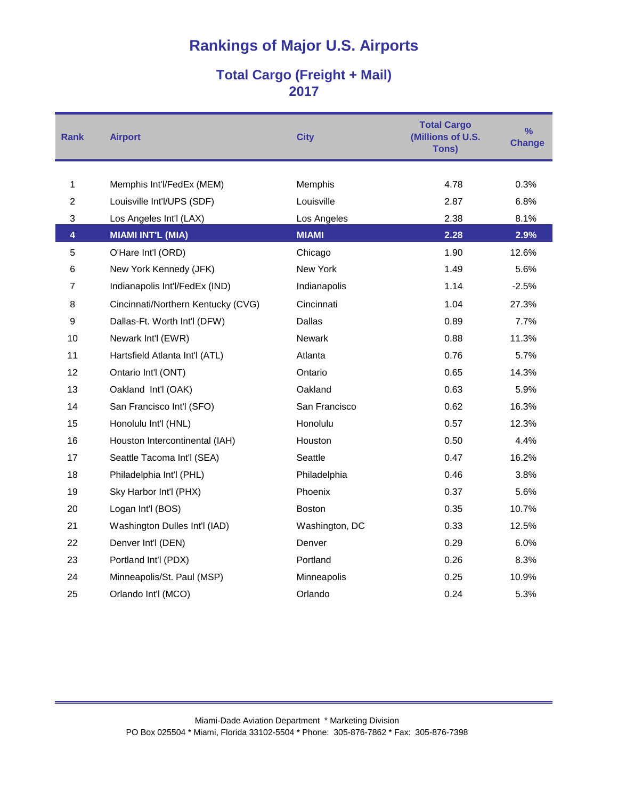### **Total Cargo (Freight + Mail)**

| <b>Rank</b>             | <b>Airport</b>                     | <b>City</b>    | <b>Total Cargo</b><br>(Millions of U.S.<br>Tons) | $\frac{9}{6}$<br><b>Change</b> |
|-------------------------|------------------------------------|----------------|--------------------------------------------------|--------------------------------|
|                         |                                    |                |                                                  |                                |
| $\mathbf{1}$            | Memphis Int'l/FedEx (MEM)          | Memphis        | 4.78                                             | 0.3%                           |
| $\overline{2}$          | Louisville Int'l/UPS (SDF)         | Louisville     | 2.87                                             | 6.8%                           |
| $\sqrt{3}$              | Los Angeles Int'l (LAX)            | Los Angeles    | 2.38                                             | 8.1%                           |
| $\overline{\mathbf{4}}$ | <b>MIAMI INT'L (MIA)</b>           | <b>MIAMI</b>   | 2.28                                             | 2.9%                           |
| $\overline{5}$          | O'Hare Int'l (ORD)                 | Chicago        | 1.90                                             | 12.6%                          |
| 6                       | New York Kennedy (JFK)             | New York       | 1.49                                             | 5.6%                           |
| $\overline{7}$          | Indianapolis Int'l/FedEx (IND)     | Indianapolis   | 1.14                                             | $-2.5%$                        |
| 8                       | Cincinnati/Northern Kentucky (CVG) | Cincinnati     | 1.04                                             | 27.3%                          |
| $\boldsymbol{9}$        | Dallas-Ft. Worth Int'l (DFW)       | <b>Dallas</b>  | 0.89                                             | 7.7%                           |
| 10                      | Newark Int'l (EWR)                 | <b>Newark</b>  | 0.88                                             | 11.3%                          |
| 11                      | Hartsfield Atlanta Int'l (ATL)     | Atlanta        | 0.76                                             | 5.7%                           |
| 12                      | Ontario Int'l (ONT)                | Ontario        | 0.65                                             | 14.3%                          |
| 13                      | Oakland Int'l (OAK)                | Oakland        | 0.63                                             | 5.9%                           |
| 14                      | San Francisco Int'l (SFO)          | San Francisco  | 0.62                                             | 16.3%                          |
| 15                      | Honolulu Int'l (HNL)               | Honolulu       | 0.57                                             | 12.3%                          |
| 16                      | Houston Intercontinental (IAH)     | Houston        | 0.50                                             | 4.4%                           |
| 17                      | Seattle Tacoma Int'l (SEA)         | Seattle        | 0.47                                             | 16.2%                          |
| 18                      | Philadelphia Int'l (PHL)           | Philadelphia   | 0.46                                             | 3.8%                           |
| 19                      | Sky Harbor Int'l (PHX)             | Phoenix        | 0.37                                             | 5.6%                           |
| 20                      | Logan Int'l (BOS)                  | Boston         | 0.35                                             | 10.7%                          |
| 21                      | Washington Dulles Int'l (IAD)      | Washington, DC | 0.33                                             | 12.5%                          |
| 22                      | Denver Int'l (DEN)                 | Denver         | 0.29                                             | 6.0%                           |
| 23                      | Portland Int'l (PDX)               | Portland       | 0.26                                             | 8.3%                           |
| 24                      | Minneapolis/St. Paul (MSP)         | Minneapolis    | 0.25                                             | 10.9%                          |
| 25                      | Orlando Int'l (MCO)                | Orlando        | 0.24                                             | 5.3%                           |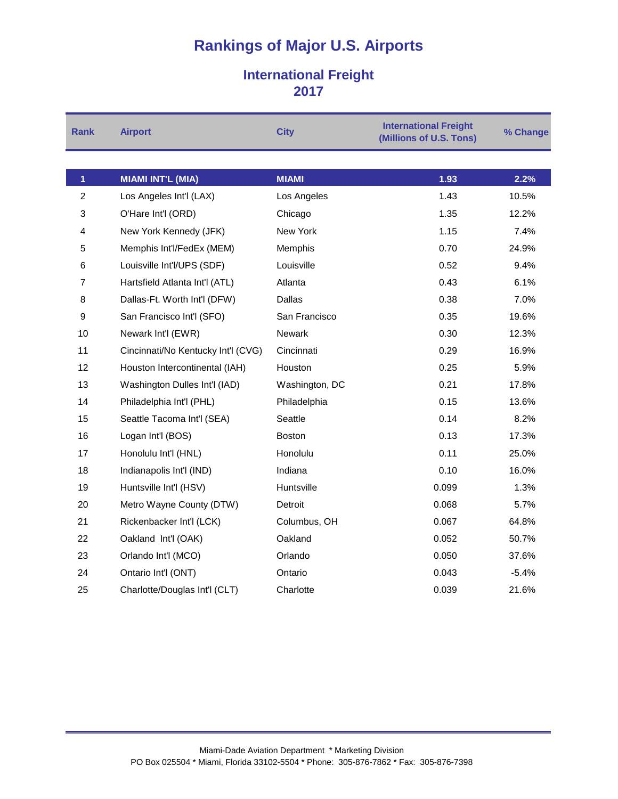### **International Freight**

| <b>Rank</b>    | <b>Airport</b>                     | <b>City</b>    | <b>International Freight</b><br>(Millions of U.S. Tons) | % Change |
|----------------|------------------------------------|----------------|---------------------------------------------------------|----------|
|                |                                    |                |                                                         |          |
| 1              | <b>MIAMI INT'L (MIA)</b>           | <b>MIAMI</b>   | 1.93                                                    | 2.2%     |
| $\overline{2}$ | Los Angeles Int'l (LAX)            | Los Angeles    | 1.43                                                    | 10.5%    |
| 3              | O'Hare Int'l (ORD)                 | Chicago        | 1.35                                                    | 12.2%    |
| 4              | New York Kennedy (JFK)             | New York       | 1.15                                                    | 7.4%     |
| 5              | Memphis Int'l/FedEx (MEM)          | Memphis        | 0.70                                                    | 24.9%    |
| 6              | Louisville Int'l/UPS (SDF)         | Louisville     | 0.52                                                    | 9.4%     |
| 7              | Hartsfield Atlanta Int'l (ATL)     | Atlanta        | 0.43                                                    | 6.1%     |
| 8              | Dallas-Ft. Worth Int'l (DFW)       | <b>Dallas</b>  | 0.38                                                    | 7.0%     |
| 9              | San Francisco Int'l (SFO)          | San Francisco  | 0.35                                                    | 19.6%    |
| 10             | Newark Int'l (EWR)                 | Newark         | 0.30                                                    | 12.3%    |
| 11             | Cincinnati/No Kentucky Int'l (CVG) | Cincinnati     | 0.29                                                    | 16.9%    |
| 12             | Houston Intercontinental (IAH)     | Houston        | 0.25                                                    | 5.9%     |
| 13             | Washington Dulles Int'l (IAD)      | Washington, DC | 0.21                                                    | 17.8%    |
| 14             | Philadelphia Int'l (PHL)           | Philadelphia   | 0.15                                                    | 13.6%    |
| 15             | Seattle Tacoma Int'l (SEA)         | Seattle        | 0.14                                                    | 8.2%     |
| 16             | Logan Int'l (BOS)                  | <b>Boston</b>  | 0.13                                                    | 17.3%    |
| 17             | Honolulu Int'l (HNL)               | Honolulu       | 0.11                                                    | 25.0%    |
| 18             | Indianapolis Int'l (IND)           | Indiana        | 0.10                                                    | 16.0%    |
| 19             | Huntsville Int'l (HSV)             | Huntsville     | 0.099                                                   | 1.3%     |
| 20             | Metro Wayne County (DTW)           | Detroit        | 0.068                                                   | 5.7%     |
| 21             | Rickenbacker Int'l (LCK)           | Columbus, OH   | 0.067                                                   | 64.8%    |
| 22             | Oakland Int'l (OAK)                | Oakland        | 0.052                                                   | 50.7%    |
| 23             | Orlando Int'l (MCO)                | Orlando        | 0.050                                                   | 37.6%    |
| 24             | Ontario Int'l (ONT)                | Ontario        | 0.043                                                   | $-5.4%$  |
| 25             | Charlotte/Douglas Int'l (CLT)      | Charlotte      | 0.039                                                   | 21.6%    |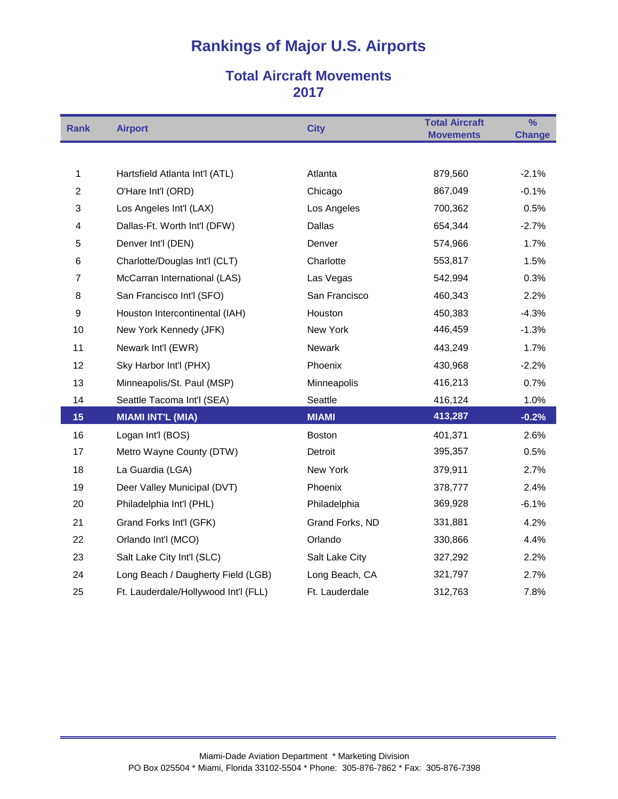### **Total Aircraft Movements**

| <b>Rank</b>             | <b>Airport</b>                       | <b>City</b>     | <b>Total Aircraft</b><br><b>Movements</b> | $\overline{\frac{9}{6}}$<br><b>Change</b> |
|-------------------------|--------------------------------------|-----------------|-------------------------------------------|-------------------------------------------|
|                         |                                      |                 |                                           |                                           |
| 1                       | Hartsfield Atlanta Int'l (ATL)       | Atlanta         | 879,560                                   | $-2.1%$                                   |
| $\overline{2}$          | O'Hare Int'l (ORD)                   | Chicago         | 867,049                                   | $-0.1%$                                   |
| 3                       | Los Angeles Int'l (LAX)              | Los Angeles     | 700,362                                   | 0.5%                                      |
| $\overline{\mathbf{4}}$ | Dallas-Ft. Worth Int'l (DFW)         | Dallas          | 654,344                                   | $-2.7%$                                   |
| 5                       | Denver Int'l (DEN)                   | Denver          | 574,966                                   | 1.7%                                      |
| 6                       | Charlotte/Douglas Int'l (CLT)        | Charlotte       | 553,817                                   | 1.5%                                      |
| $\overline{7}$          | McCarran International (LAS)         | Las Vegas       | 542,994                                   | 0.3%                                      |
| 8                       | San Francisco Int'l (SFO)            | San Francisco   | 460,343                                   | 2.2%                                      |
| 9                       | Houston Intercontinental (IAH)       | Houston         | 450,383                                   | $-4.3%$                                   |
| 10                      | New York Kennedy (JFK)               | New York        | 446,459                                   | $-1.3%$                                   |
| 11                      | Newark Int'l (EWR)                   | Newark          | 443,249                                   | 1.7%                                      |
| 12                      | Sky Harbor Int'l (PHX)               | Phoenix         | 430,968                                   | $-2.2%$                                   |
| 13                      | Minneapolis/St. Paul (MSP)           | Minneapolis     | 416,213                                   | 0.7%                                      |
| 14                      | Seattle Tacoma Int'l (SEA)           | Seattle         | 416,124                                   | 1.0%                                      |
| 15                      | <b>MIAMI INT'L (MIA)</b>             | <b>MIAMI</b>    | 413,287                                   | $-0.2%$                                   |
| 16                      | Logan Int'l (BOS)                    | <b>Boston</b>   | 401,371                                   | 2.6%                                      |
| 17                      | Metro Wayne County (DTW)             | Detroit         | 395,357                                   | 0.5%                                      |
| 18                      | La Guardia (LGA)                     | New York        | 379,911                                   | 2.7%                                      |
| 19                      | Deer Valley Municipal (DVT)          | Phoenix         | 378,777                                   | 2.4%                                      |
| 20                      | Philadelphia Int'l (PHL)             | Philadelphia    | 369,928                                   | $-6.1%$                                   |
| 21                      | Grand Forks Int'l (GFK)              | Grand Forks, ND | 331,881                                   | 4.2%                                      |
| 22                      | Orlando Int'l (MCO)                  | Orlando         | 330,866                                   | 4.4%                                      |
| 23                      | Salt Lake City Int'l (SLC)           | Salt Lake City  | 327,292                                   | 2.2%                                      |
| 24                      | Long Beach / Daugherty Field (LGB)   | Long Beach, CA  | 321,797                                   | 2.7%                                      |
| 25                      | Ft. Lauderdale/Hollywood Int'l (FLL) | Ft. Lauderdale  | 312,763                                   | 7.8%                                      |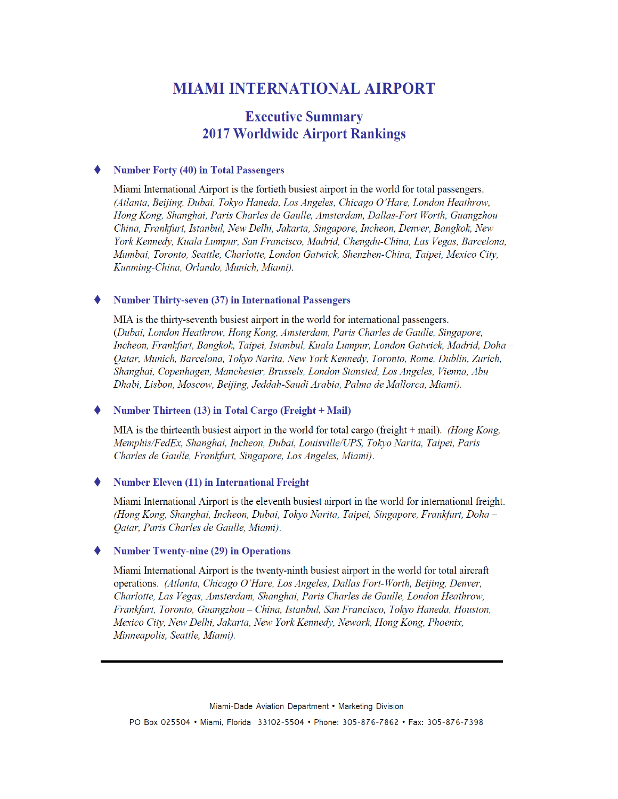### **MIAMI INTERNATIONAL AIRPORT**

### **Executive Summary 2017 Worldwide Airport Rankings**

#### **Number Forty (40) in Total Passengers**

Miami International Airport is the fortieth busiest airport in the world for total passengers. (Atlanta, Beijing, Dubai, Tokyo Haneda, Los Angeles, Chicago O'Hare, London Heathrow, Hong Kong, Shanghai, Paris Charles de Gaulle, Amsterdam, Dallas-Fort Worth, Guangzhou -China, Frankfurt, Istanbul, New Delhi, Jakarta, Singapore, Incheon, Denver, Bangkok, New York Kennedy, Kuala Lumpur, San Francisco, Madrid, Chengdu-China, Las Vegas, Barcelona, Mumbai, Toronto, Seattle, Charlotte, London Gatwick, Shenzhen-China, Taipei, Mexico City, Kunming-China, Orlando, Munich, Miami).

#### **Number Thirty-seven (37) in International Passengers**

MIA is the thirty-seventh busiest airport in the world for international passengers. (Dubai, London Heathrow, Hong Kong, Amsterdam, Paris Charles de Gaulle, Singapore, Incheon, Frankfurt, Bangkok, Taipei, Istanbul, Kuala Lumpur, London Gatwick, Madrid, Doha – Oatar, Munich, Barcelona, Tokyo Narita, New York Kennedy, Toronto, Rome, Dublin, Zurich, Shanghai, Copenhagen, Manchester, Brussels, London Stansted, Los Angeles, Vienna, Abu Dhabi, Lisbon, Moscow, Beijing, Jeddah-Saudi Arabia, Palma de Mallorca, Miami).

#### Number Thirteen (13) in Total Cargo (Freight + Mail)

MIA is the thirteenth busiest airport in the world for total cargo (freight  $+$  mail). (Hong Kong, Memphis/FedEx, Shanghai, Incheon, Dubai, Louisville/UPS, Tokyo Narita, Taipei, Paris Charles de Gaulle, Frankfurt, Singapore, Los Angeles, Miami).

#### ۰ **Number Eleven (11) in International Freight**

Miami International Airport is the eleventh busiest airport in the world for international freight. (Hong Kong, Shanghai, Incheon, Dubai, Tokyo Narita, Taipei, Singapore, Frankfurt, Doha-Oatar, Paris Charles de Gaulle, Miami).

#### **Number Twenty-nine (29) in Operations**

Miami International Airport is the twenty-ninth busiest airport in the world for total aircraft operations. (Atlanta, Chicago O'Hare, Los Angeles, Dallas Fort-Worth, Beijing, Denver, Charlotte, Las Vegas, Amsterdam, Shanghai, Paris Charles de Gaulle, London Heathrow, Frankfurt, Toronto, Guangzhou - China, Istanbul, San Francisco, Tokyo Haneda, Houston, Mexico City, New Delhi, Jakarta, New York Kennedy, Newark, Hong Kong, Phoenix, Minneapolis, Seattle, Miami).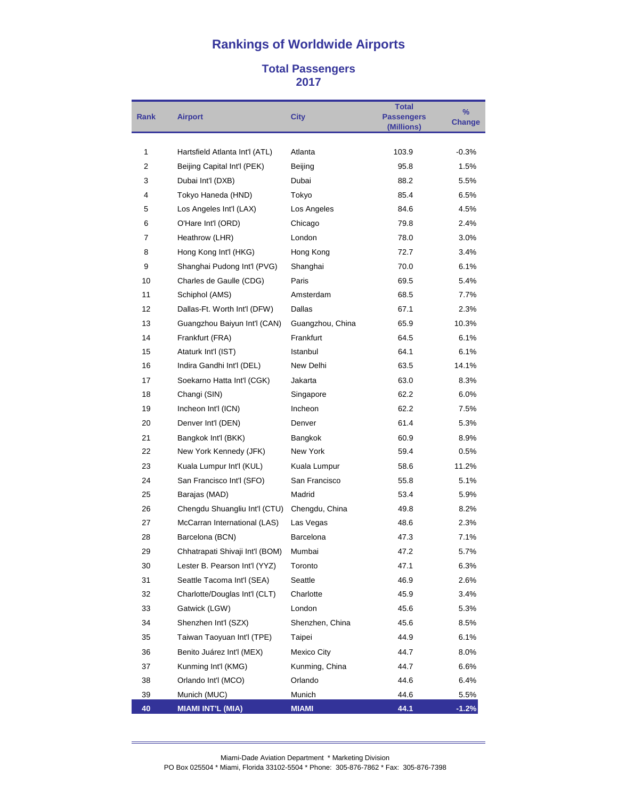#### **Total Passengers**

| <b>Rank</b> | <b>Airport</b>                  | <b>City</b>      | <b>Total</b><br><b>Passengers</b> | $\%$<br><b>Change</b> |
|-------------|---------------------------------|------------------|-----------------------------------|-----------------------|
|             |                                 |                  | (Millions)                        |                       |
| 1           | Hartsfield Atlanta Int'l (ATL)  | Atlanta          | 103.9                             | $-0.3%$               |
| 2           | Beijing Capital Int'l (PEK)     | Beijing          | 95.8                              | 1.5%                  |
| 3           | Dubai Int'l (DXB)               | Dubai            | 88.2                              | 5.5%                  |
| 4           | Tokyo Haneda (HND)              | Tokyo            | 85.4                              | 6.5%                  |
| 5           | Los Angeles Int'l (LAX)         | Los Angeles      | 84.6                              | 4.5%                  |
| 6           | O'Hare Int'l (ORD)              | Chicago          | 79.8                              | 2.4%                  |
| 7           | Heathrow (LHR)                  | London           | 78.0                              | 3.0%                  |
| 8           | Hong Kong Int'l (HKG)           | Hong Kong        | 72.7                              | 3.4%                  |
| 9           | Shanghai Pudong Int'l (PVG)     | Shanghai         | 70.0                              | 6.1%                  |
| 10          | Charles de Gaulle (CDG)         | Paris            | 69.5                              | 5.4%                  |
| 11          | Schiphol (AMS)                  | Amsterdam        | 68.5                              | 7.7%                  |
| 12          | Dallas-Ft. Worth Int'l (DFW)    | Dallas           | 67.1                              | 2.3%                  |
| 13          | Guangzhou Baiyun Int'l (CAN)    | Guangzhou, China | 65.9                              | 10.3%                 |
| 14          | Frankfurt (FRA)                 | Frankfurt        | 64.5                              | 6.1%                  |
| 15          | Ataturk Int'l (IST)             | Istanbul         | 64.1                              | 6.1%                  |
| 16          | Indira Gandhi Int'l (DEL)       | New Delhi        | 63.5                              | 14.1%                 |
| 17          | Soekarno Hatta Int'l (CGK)      | Jakarta          | 63.0                              | 8.3%                  |
| 18          | Changi (SIN)                    | Singapore        | 62.2                              | 6.0%                  |
| 19          | Incheon Int'l (ICN)             | Incheon          | 62.2                              | 7.5%                  |
| 20          | Denver Int'l (DEN)              | Denver           | 61.4                              | 5.3%                  |
| 21          | Bangkok Int'l (BKK)             | Bangkok          | 60.9                              | 8.9%                  |
| 22          | New York Kennedy (JFK)          | New York         | 59.4                              | 0.5%                  |
| 23          | Kuala Lumpur Int'l (KUL)        | Kuala Lumpur     | 58.6                              | 11.2%                 |
| 24          | San Francisco Int'l (SFO)       | San Francisco    | 55.8                              | 5.1%                  |
| 25          | Barajas (MAD)                   | Madrid           | 53.4                              | 5.9%                  |
| 26          | Chengdu Shuangliu Int'l (CTU)   | Chengdu, China   | 49.8                              | 8.2%                  |
| 27          | McCarran International (LAS)    | Las Vegas        | 48.6                              | 2.3%                  |
| 28          | Barcelona (BCN)                 | Barcelona        | 47.3                              | 7.1%                  |
| 29          | Chhatrapati Shivaji Int'l (BOM) | Mumbai           | 47.2                              | 5.7%                  |
| 30          | Lester B. Pearson Int'l (YYZ)   | Toronto          | 47.1                              | 6.3%                  |
| 31          | Seattle Tacoma Int'l (SEA)      | Seattle          | 46.9                              | 2.6%                  |
| 32          | Charlotte/Douglas Int'l (CLT)   | Charlotte        | 45.9                              | 3.4%                  |
| 33          | Gatwick (LGW)                   | London           | 45.6                              | 5.3%                  |
| 34          | Shenzhen Int'l (SZX)            | Shenzhen, China  | 45.6                              | 8.5%                  |
| 35          | Taiwan Taoyuan Int'l (TPE)      | Taipei           | 44.9                              | 6.1%                  |
| 36          | Benito Juárez Int'l (MEX)       | Mexico City      | 44.7                              | 8.0%                  |
| 37          | Kunming Int'l (KMG)             | Kunming, China   | 44.7                              | 6.6%                  |
| 38          | Orlando Int'l (MCO)             | Orlando          | 44.6                              | 6.4%                  |
| 39          | Munich (MUC)                    | Munich           | 44.6                              | 5.5%                  |
| 40          | <b>MIAMI INT'L (MIA)</b>        | <b>MIAMI</b>     | 44.1                              | $-1.2%$               |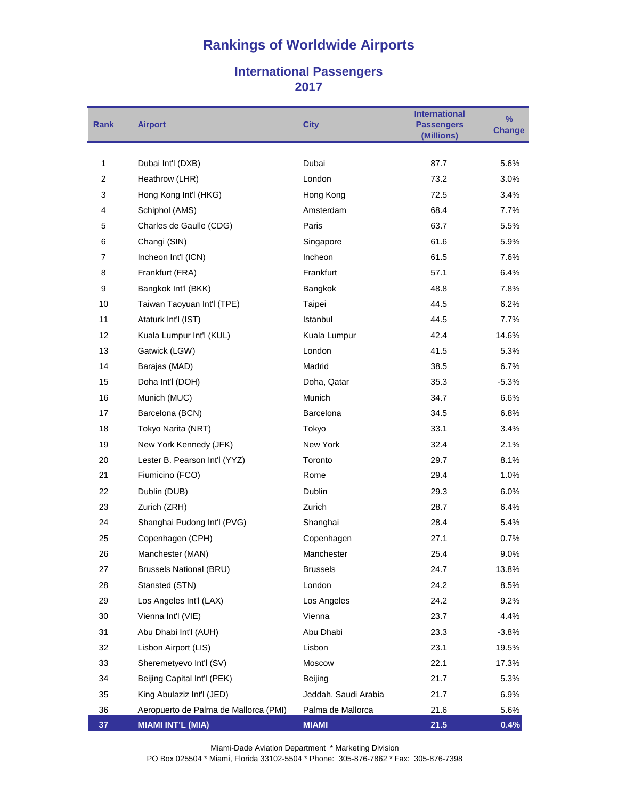#### **International Passengers**

| <b>Rank</b> | <b>Airport</b>                        | <b>City</b>          | <b>International</b><br><b>Passengers</b><br>(Millions) | $\%$<br><b>Change</b> |
|-------------|---------------------------------------|----------------------|---------------------------------------------------------|-----------------------|
|             |                                       |                      |                                                         |                       |
| 1           | Dubai Int'l (DXB)                     | Dubai                | 87.7                                                    | 5.6%                  |
| 2           | Heathrow (LHR)                        | London               | 73.2                                                    | 3.0%                  |
| 3           | Hong Kong Int'l (HKG)                 | Hong Kong            | 72.5                                                    | 3.4%                  |
| 4           | Schiphol (AMS)                        | Amsterdam            | 68.4                                                    | 7.7%                  |
| 5           | Charles de Gaulle (CDG)               | Paris                | 63.7                                                    | 5.5%                  |
| 6           | Changi (SIN)                          | Singapore            | 61.6                                                    | 5.9%                  |
| 7           | Incheon Int'l (ICN)                   | Incheon              | 61.5                                                    | 7.6%                  |
| 8           | Frankfurt (FRA)                       | Frankfurt            | 57.1                                                    | 6.4%                  |
| 9           | Bangkok Int'l (BKK)                   | Bangkok              | 48.8                                                    | 7.8%                  |
| 10          | Taiwan Taoyuan Int'l (TPE)            | Taipei               | 44.5                                                    | 6.2%                  |
| 11          | Ataturk Int'l (IST)                   | Istanbul             | 44.5                                                    | 7.7%                  |
| 12          | Kuala Lumpur Int'l (KUL)              | Kuala Lumpur         | 42.4                                                    | 14.6%                 |
| 13          | Gatwick (LGW)                         | London               | 41.5                                                    | 5.3%                  |
| 14          | Barajas (MAD)                         | Madrid               | 38.5                                                    | 6.7%                  |
| 15          | Doha Int'l (DOH)                      | Doha, Qatar          | 35.3                                                    | $-5.3%$               |
| 16          | Munich (MUC)                          | Munich               | 34.7                                                    | 6.6%                  |
| 17          | Barcelona (BCN)                       | Barcelona            | 34.5                                                    | 6.8%                  |
| 18          | Tokyo Narita (NRT)                    | Tokyo                | 33.1                                                    | 3.4%                  |
| 19          | New York Kennedy (JFK)                | New York             | 32.4                                                    | 2.1%                  |
| 20          | Lester B. Pearson Int'l (YYZ)         | Toronto              | 29.7                                                    | 8.1%                  |
| 21          | Fiumicino (FCO)                       | Rome                 | 29.4                                                    | 1.0%                  |
| 22          | Dublin (DUB)                          | Dublin               | 29.3                                                    | 6.0%                  |
| 23          | Zurich (ZRH)                          | Zurich               | 28.7                                                    | 6.4%                  |
| 24          | Shanghai Pudong Int'l (PVG)           | Shanghai             | 28.4                                                    | 5.4%                  |
| 25          | Copenhagen (CPH)                      | Copenhagen           | 27.1                                                    | $0.7\%$               |
| 26          | Manchester (MAN)                      | Manchester           | 25.4                                                    | 9.0%                  |
| 27          | <b>Brussels National (BRU)</b>        | <b>Brussels</b>      | 24.7                                                    | 13.8%                 |
| 28          | Stansted (STN)                        | London               | 24.2                                                    | 8.5%                  |
| 29          | Los Angeles Int'l (LAX)               | Los Angeles          | 24.2                                                    | 9.2%                  |
| 30          | Vienna Int'l (VIE)                    | Vienna               | 23.7                                                    | 4.4%                  |
| 31          | Abu Dhabi Int'l (AUH)                 | Abu Dhabi            | 23.3                                                    | $-3.8%$               |
| 32          | Lisbon Airport (LIS)                  | Lisbon               | 23.1                                                    | 19.5%                 |
| 33          | Sheremetyevo Int'l (SV)               | Moscow               | 22.1                                                    | 17.3%                 |
| 34          | Beijing Capital Int'l (PEK)           | Beijing              | 21.7                                                    | 5.3%                  |
| 35          | King Abulaziz Int'l (JED)             | Jeddah, Saudi Arabia | 21.7                                                    | 6.9%                  |
| 36          | Aeropuerto de Palma de Mallorca (PMI) | Palma de Mallorca    | 21.6                                                    | 5.6%                  |
| 37          | <b>MIAMI INT'L (MIA)</b>              | <b>MIAMI</b>         | 21.5                                                    | 0.4%                  |

Miami-Dade Aviation Department \* Marketing Division

PO Box 025504 \* Miami, Florida 33102-5504 \* Phone: 305-876-7862 \* Fax: 305-876-7398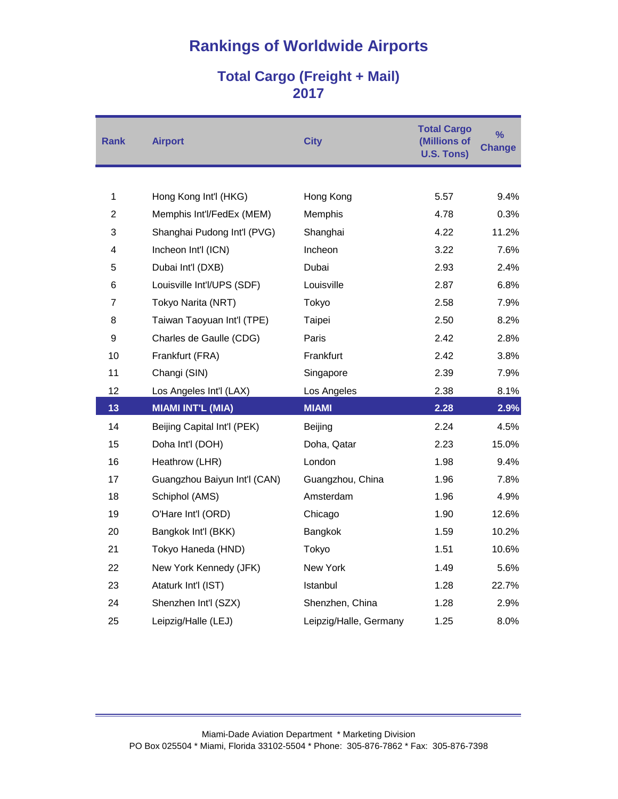## **Total Cargo (Freight + Mail)**

| Rank           | <b>Airport</b>               | <b>City</b>            | <b>Total Cargo</b><br>(Millions of<br><b>U.S. Tons)</b> | $\frac{9}{6}$<br><b>Change</b> |
|----------------|------------------------------|------------------------|---------------------------------------------------------|--------------------------------|
|                |                              |                        |                                                         |                                |
| 1              | Hong Kong Int'l (HKG)        | Hong Kong              | 5.57                                                    | 9.4%                           |
| $\overline{2}$ | Memphis Int'l/FedEx (MEM)    | Memphis                | 4.78                                                    | 0.3%                           |
| 3              | Shanghai Pudong Int'l (PVG)  | Shanghai               | 4.22                                                    | 11.2%                          |
| 4              | Incheon Int'l (ICN)          | Incheon                | 3.22                                                    | 7.6%                           |
| 5              | Dubai Int'l (DXB)            | Dubai                  | 2.93                                                    | 2.4%                           |
| 6              | Louisville Int'l/UPS (SDF)   | Louisville             | 2.87                                                    | 6.8%                           |
| 7              | Tokyo Narita (NRT)           | Tokyo                  | 2.58                                                    | 7.9%                           |
| 8              | Taiwan Taoyuan Int'l (TPE)   | Taipei                 | 2.50                                                    | 8.2%                           |
| 9              | Charles de Gaulle (CDG)      | Paris                  | 2.42                                                    | 2.8%                           |
| 10             | Frankfurt (FRA)              | Frankfurt              | 2.42                                                    | 3.8%                           |
| 11             | Changi (SIN)                 | Singapore              | 2.39                                                    | 7.9%                           |
| 12             | Los Angeles Int'l (LAX)      | Los Angeles            | 2.38                                                    | 8.1%                           |
| 13             | <b>MIAMI INT'L (MIA)</b>     | <b>MIAMI</b>           | 2.28                                                    | 2.9%                           |
| 14             | Beijing Capital Int'l (PEK)  | Beijing                | 2.24                                                    | 4.5%                           |
| 15             | Doha Int'l (DOH)             | Doha, Qatar            | 2.23                                                    | 15.0%                          |
| 16             | Heathrow (LHR)               | London                 | 1.98                                                    | 9.4%                           |
| 17             | Guangzhou Baiyun Int'l (CAN) | Guangzhou, China       | 1.96                                                    | 7.8%                           |
| 18             | Schiphol (AMS)               | Amsterdam              | 1.96                                                    | 4.9%                           |
| 19             | O'Hare Int'l (ORD)           | Chicago                | 1.90                                                    | 12.6%                          |
| 20             | Bangkok Int'l (BKK)          | Bangkok                | 1.59                                                    | 10.2%                          |
| 21             | Tokyo Haneda (HND)           | Tokyo                  | 1.51                                                    | 10.6%                          |
| 22             | New York Kennedy (JFK)       | New York               | 1.49                                                    | 5.6%                           |
| 23             | Ataturk Int'l (IST)          | Istanbul               | 1.28                                                    | 22.7%                          |
| 24             | Shenzhen Int'l (SZX)         | Shenzhen, China        | 1.28                                                    | 2.9%                           |
| 25             | Leipzig/Halle (LEJ)          | Leipzig/Halle, Germany | 1.25                                                    | 8.0%                           |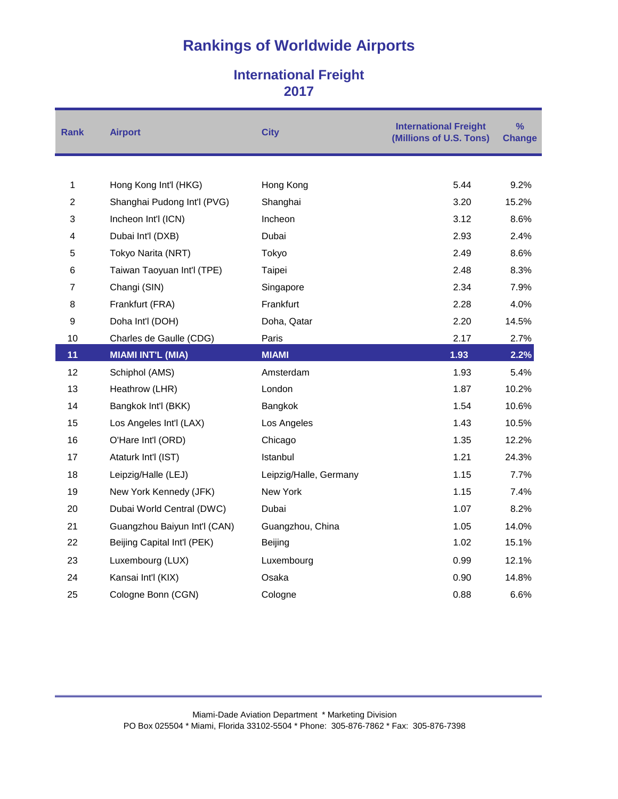### **International Freight**

| <b>Rank</b>    | <b>Airport</b>               | <b>City</b>            | <b>International Freight</b><br>(Millions of U.S. Tons) | $\frac{9}{6}$<br><b>Change</b> |
|----------------|------------------------------|------------------------|---------------------------------------------------------|--------------------------------|
|                |                              |                        |                                                         |                                |
| 1              | Hong Kong Int'l (HKG)        | Hong Kong              | 5.44                                                    | 9.2%                           |
| $\overline{c}$ | Shanghai Pudong Int'l (PVG)  | Shanghai               | 3.20                                                    | 15.2%                          |
| 3              | Incheon Int'l (ICN)          | Incheon                | 3.12                                                    | 8.6%                           |
| 4              | Dubai Int'l (DXB)            | Dubai                  | 2.93                                                    | 2.4%                           |
| 5              | Tokyo Narita (NRT)           | Tokyo                  | 2.49                                                    | 8.6%                           |
| 6              | Taiwan Taoyuan Int'l (TPE)   | Taipei                 | 2.48                                                    | 8.3%                           |
| 7              | Changi (SIN)                 | Singapore              | 2.34                                                    | 7.9%                           |
| 8              | Frankfurt (FRA)              | Frankfurt              | 2.28                                                    | 4.0%                           |
| 9              | Doha Int'l (DOH)             | Doha, Qatar            | 2.20                                                    | 14.5%                          |
| 10             | Charles de Gaulle (CDG)      | Paris                  | 2.17                                                    | 2.7%                           |
| 11             | <b>MIAMI INT'L (MIA)</b>     | <b>MIAMI</b>           | 1.93                                                    | 2.2%                           |
| 12             | Schiphol (AMS)               | Amsterdam              | 1.93                                                    | 5.4%                           |
| 13             | Heathrow (LHR)               | London                 | 1.87                                                    | 10.2%                          |
| 14             | Bangkok Int'l (BKK)          | Bangkok                | 1.54                                                    | 10.6%                          |
| 15             | Los Angeles Int'l (LAX)      | Los Angeles            | 1.43                                                    | 10.5%                          |
| 16             | O'Hare Int'l (ORD)           | Chicago                | 1.35                                                    | 12.2%                          |
| 17             | Ataturk Int'l (IST)          | Istanbul               | 1.21                                                    | 24.3%                          |
| 18             | Leipzig/Halle (LEJ)          | Leipzig/Halle, Germany | 1.15                                                    | 7.7%                           |
| 19             | New York Kennedy (JFK)       | New York               | 1.15                                                    | 7.4%                           |
| 20             | Dubai World Central (DWC)    | Dubai                  | 1.07                                                    | 8.2%                           |
| 21             | Guangzhou Baiyun Int'l (CAN) | Guangzhou, China       | 1.05                                                    | 14.0%                          |
| 22             | Beijing Capital Int'l (PEK)  | Beijing                | 1.02                                                    | 15.1%                          |
| 23             | Luxembourg (LUX)             | Luxembourg             | 0.99                                                    | 12.1%                          |
| 24             | Kansai Int'l (KIX)           | Osaka                  | 0.90                                                    | 14.8%                          |
| 25             | Cologne Bonn (CGN)           | Cologne                | 0.88                                                    | 6.6%                           |